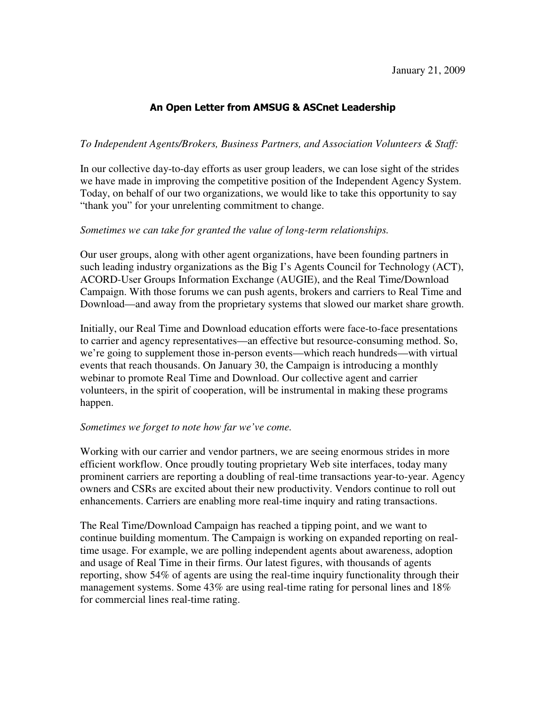# An Open Letter from AMSUG & ASCnet Leadership

### *To Independent Agents/Brokers, Business Partners, and Association Volunteers & Staff:*

In our collective day-to-day efforts as user group leaders, we can lose sight of the strides we have made in improving the competitive position of the Independent Agency System. Today, on behalf of our two organizations, we would like to take this opportunity to say "thank you" for your unrelenting commitment to change.

#### *Sometimes we can take for granted the value of long-term relationships.*

Our user groups, along with other agent organizations, have been founding partners in such leading industry organizations as the Big I's Agents Council for Technology (ACT), ACORD-User Groups Information Exchange (AUGIE), and the Real Time/Download Campaign. With those forums we can push agents, brokers and carriers to Real Time and Download—and away from the proprietary systems that slowed our market share growth.

Initially, our Real Time and Download education efforts were face-to-face presentations to carrier and agency representatives—an effective but resource-consuming method. So, we're going to supplement those in-person events—which reach hundreds—with virtual events that reach thousands. On January 30, the Campaign is introducing a monthly webinar to promote Real Time and Download. Our collective agent and carrier volunteers, in the spirit of cooperation, will be instrumental in making these programs happen.

#### *Sometimes we forget to note how far we've come.*

Working with our carrier and vendor partners, we are seeing enormous strides in more efficient workflow. Once proudly touting proprietary Web site interfaces, today many prominent carriers are reporting a doubling of real-time transactions year-to-year. Agency owners and CSRs are excited about their new productivity. Vendors continue to roll out enhancements. Carriers are enabling more real-time inquiry and rating transactions.

The Real Time/Download Campaign has reached a tipping point, and we want to continue building momentum. The Campaign is working on expanded reporting on realtime usage. For example, we are polling independent agents about awareness, adoption and usage of Real Time in their firms. Our latest figures, with thousands of agents reporting, show 54% of agents are using the real-time inquiry functionality through their management systems. Some 43% are using real-time rating for personal lines and 18% for commercial lines real-time rating.